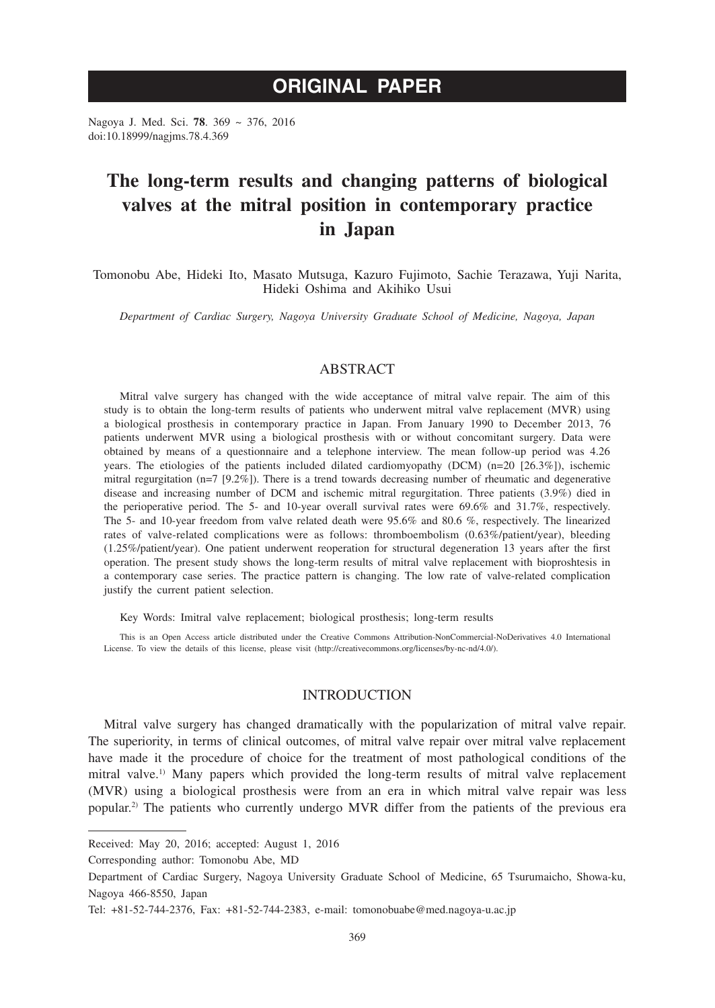# **ORIGINAL PAPER**

Nagoya J. Med. Sci. **78**. 369 ~ 376, 2016 doi:10.18999/nagjms.78.4.369

# **The long-term results and changing patterns of biological valves at the mitral position in contemporary practice in Japan**

Tomonobu Abe, Hideki Ito, Masato Mutsuga, Kazuro Fujimoto, Sachie Terazawa, Yuji Narita, Hideki Oshima and Akihiko Usui

*Department of Cardiac Surgery, Nagoya University Graduate School of Medicine, Nagoya, Japan*

# ABSTRACT

Mitral valve surgery has changed with the wide acceptance of mitral valve repair. The aim of this study is to obtain the long-term results of patients who underwent mitral valve replacement (MVR) using a biological prosthesis in contemporary practice in Japan. From January 1990 to December 2013, 76 patients underwent MVR using a biological prosthesis with or without concomitant surgery. Data were obtained by means of a questionnaire and a telephone interview. The mean follow-up period was 4.26 years. The etiologies of the patients included dilated cardiomyopathy (DCM) (n=20 [26.3%]), ischemic mitral regurgitation (n=7 [9.2%]). There is a trend towards decreasing number of rheumatic and degenerative disease and increasing number of DCM and ischemic mitral regurgitation. Three patients (3.9%) died in the perioperative period. The 5- and 10-year overall survival rates were 69.6% and 31.7%, respectively. The 5- and 10-year freedom from valve related death were 95.6% and 80.6 %, respectively. The linearized rates of valve-related complications were as follows: thromboembolism (0.63%/patient/year), bleeding (1.25%/patient/year). One patient underwent reoperation for structural degeneration 13 years after the first operation. The present study shows the long-term results of mitral valve replacement with bioproshtesis in a contemporary case series. The practice pattern is changing. The low rate of valve-related complication justify the current patient selection.

Key Words: Imitral valve replacement; biological prosthesis; long-term results

This is an Open Access article distributed under the Creative Commons Attribution-NonCommercial-NoDerivatives 4.0 International License. To view the details of this license, please visit (http://creativecommons.org/licenses/by-nc-nd/4.0/).

## INTRODUCTION

Mitral valve surgery has changed dramatically with the popularization of mitral valve repair. The superiority, in terms of clinical outcomes, of mitral valve repair over mitral valve replacement have made it the procedure of choice for the treatment of most pathological conditions of the mitral valve.<sup>1)</sup> Many papers which provided the long-term results of mitral valve replacement (MVR) using a biological prosthesis were from an era in which mitral valve repair was less popular.2) The patients who currently undergo MVR differ from the patients of the previous era

Corresponding author: Tomonobu Abe, MD

Received: May 20, 2016; accepted: August 1, 2016

Department of Cardiac Surgery, Nagoya University Graduate School of Medicine, 65 Tsurumaicho, Showa-ku, Nagoya 466-8550, Japan

Tel: +81-52-744-2376, Fax: +81-52-744-2383, e-mail: tomonobuabe@med.nagoya-u.ac.jp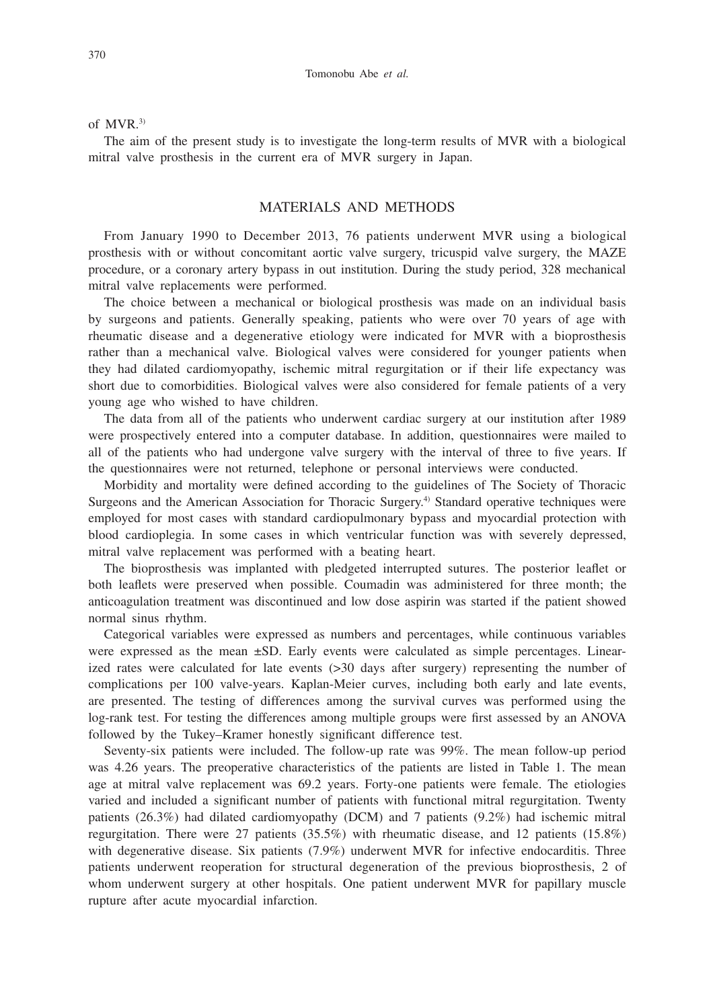#### of MVR.3)

The aim of the present study is to investigate the long-term results of MVR with a biological mitral valve prosthesis in the current era of MVR surgery in Japan.

# MATERIALS AND METHODS

From January 1990 to December 2013, 76 patients underwent MVR using a biological prosthesis with or without concomitant aortic valve surgery, tricuspid valve surgery, the MAZE procedure, or a coronary artery bypass in out institution. During the study period, 328 mechanical mitral valve replacements were performed.

The choice between a mechanical or biological prosthesis was made on an individual basis by surgeons and patients. Generally speaking, patients who were over 70 years of age with rheumatic disease and a degenerative etiology were indicated for MVR with a bioprosthesis rather than a mechanical valve. Biological valves were considered for younger patients when they had dilated cardiomyopathy, ischemic mitral regurgitation or if their life expectancy was short due to comorbidities. Biological valves were also considered for female patients of a very young age who wished to have children.

The data from all of the patients who underwent cardiac surgery at our institution after 1989 were prospectively entered into a computer database. In addition, questionnaires were mailed to all of the patients who had undergone valve surgery with the interval of three to five years. If the questionnaires were not returned, telephone or personal interviews were conducted.

Morbidity and mortality were defined according to the guidelines of The Society of Thoracic Surgeons and the American Association for Thoracic Surgery.<sup>4)</sup> Standard operative techniques were employed for most cases with standard cardiopulmonary bypass and myocardial protection with blood cardioplegia. In some cases in which ventricular function was with severely depressed, mitral valve replacement was performed with a beating heart.

The bioprosthesis was implanted with pledgeted interrupted sutures. The posterior leaflet or both leaflets were preserved when possible. Coumadin was administered for three month; the anticoagulation treatment was discontinued and low dose aspirin was started if the patient showed normal sinus rhythm.

Categorical variables were expressed as numbers and percentages, while continuous variables were expressed as the mean ±SD. Early events were calculated as simple percentages. Linearized rates were calculated for late events (>30 days after surgery) representing the number of complications per 100 valve-years. Kaplan-Meier curves, including both early and late events, are presented. The testing of differences among the survival curves was performed using the log-rank test. For testing the differences among multiple groups were first assessed by an ANOVA followed by the Tukey–Kramer honestly significant difference test.

Seventy-six patients were included. The follow-up rate was 99%. The mean follow-up period was 4.26 years. The preoperative characteristics of the patients are listed in Table 1. The mean age at mitral valve replacement was 69.2 years. Forty-one patients were female. The etiologies varied and included a significant number of patients with functional mitral regurgitation. Twenty patients (26.3%) had dilated cardiomyopathy (DCM) and 7 patients (9.2%) had ischemic mitral regurgitation. There were 27 patients (35.5%) with rheumatic disease, and 12 patients (15.8%) with degenerative disease. Six patients (7.9%) underwent MVR for infective endocarditis. Three patients underwent reoperation for structural degeneration of the previous bioprosthesis, 2 of whom underwent surgery at other hospitals. One patient underwent MVR for papillary muscle rupture after acute myocardial infarction.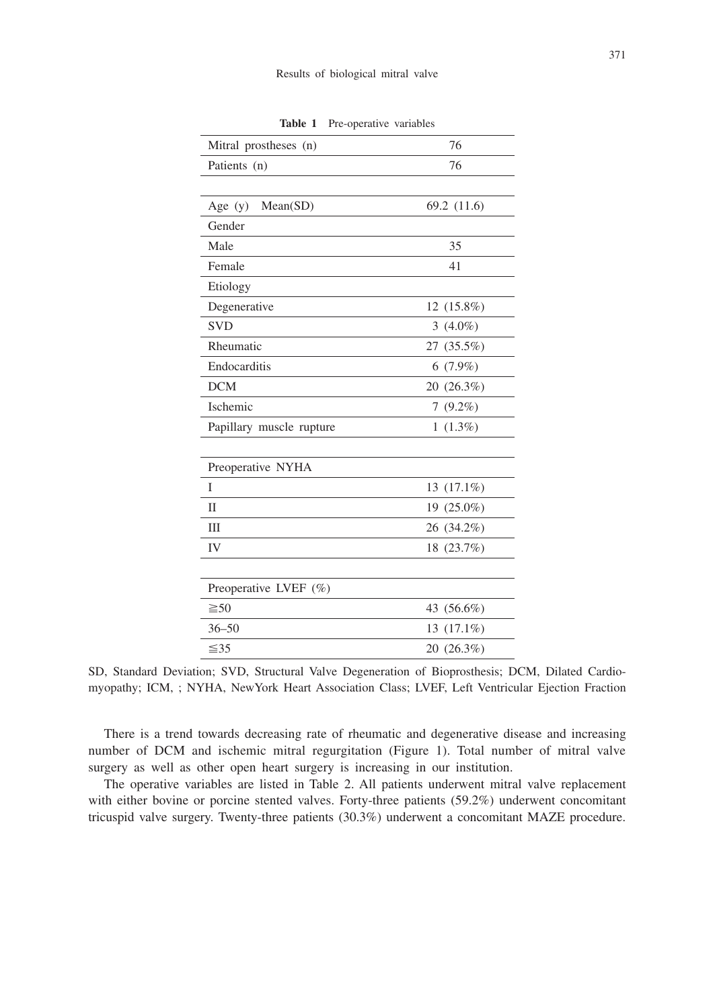| Mitral prostheses (n)    | 76           |
|--------------------------|--------------|
| Patients (n)             | 76           |
|                          |              |
| Age $(y)$<br>Mean(SD)    | 69.2 (11.6)  |
| Gender                   |              |
| Male                     | 35           |
| Female                   | 41           |
| Etiology                 |              |
| Degenerative             | 12 (15.8%)   |
| <b>SVD</b>               | 3 $(4.0\%)$  |
| Rheumatic                | 27 (35.5%)   |
| Endocarditis             | $6(7.9\%)$   |
| <b>DCM</b>               | 20 (26.3%)   |
| Ischemic                 | $7(9.2\%)$   |
| Papillary muscle rupture | $1(1.3\%)$   |
|                          |              |
| Preoperative NYHA        |              |
| I                        | 13 (17.1%)   |
| $\mathbf{I}$             | 19 (25.0%)   |
| Ш                        | 26 (34.2%)   |
| IV                       | 18 (23.7%)   |
|                          |              |
| Preoperative LVEF (%)    |              |
| $\geq 50$                | 43 (56.6%)   |
| $36 - 50$                | $13(17.1\%)$ |
| $\leq 35$                | 20 (26.3%)   |

**Table 1** Pre-operative variables

SD, Standard Deviation; SVD, Structural Valve Degeneration of Bioprosthesis; DCM, Dilated Cardiomyopathy; ICM, ; NYHA, NewYork Heart Association Class; LVEF, Left Ventricular Ejection Fraction

There is a trend towards decreasing rate of rheumatic and degenerative disease and increasing number of DCM and ischemic mitral regurgitation (Figure 1). Total number of mitral valve surgery as well as other open heart surgery is increasing in our institution.

The operative variables are listed in Table 2. All patients underwent mitral valve replacement with either bovine or porcine stented valves. Forty-three patients (59.2%) underwent concomitant tricuspid valve surgery. Twenty-three patients (30.3%) underwent a concomitant MAZE procedure.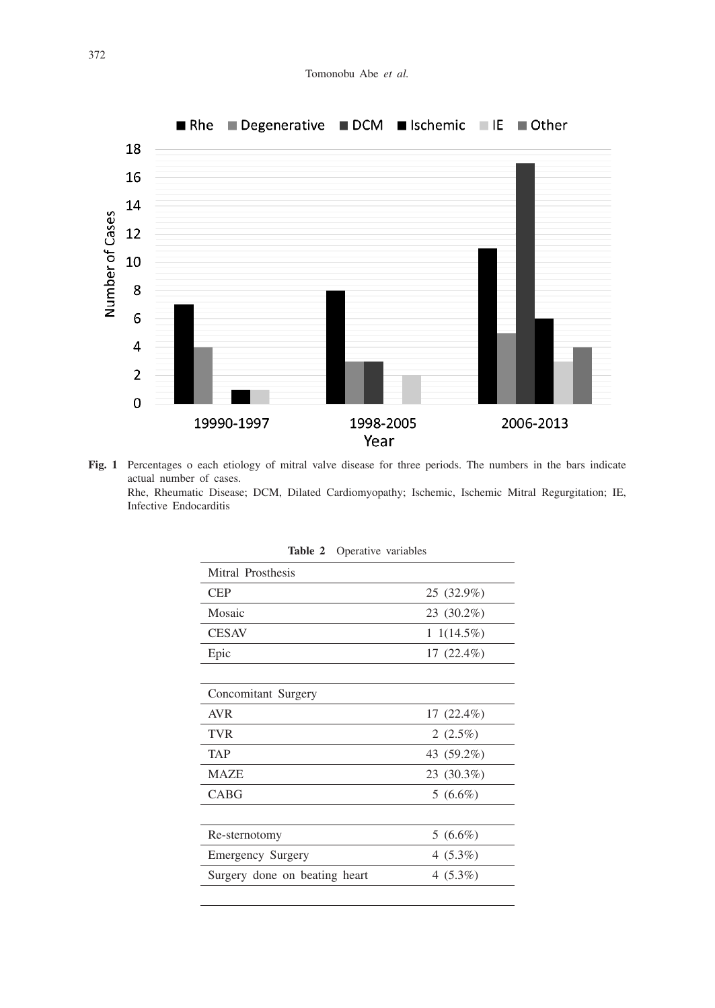

**Fig. 1** Percentages o each etiology of mitral valve disease for three periods. The numbers in the bars indicate actual number of cases. Rhe, Rheumatic Disease; DCM, Dilated Cardiomyopathy; Ischemic, Ischemic Mitral Regurgitation; IE, Infective Endocarditis

| Mitral Prosthesis             |                |
|-------------------------------|----------------|
| <b>CEP</b>                    | 25 (32.9%)     |
| Mosaic                        | 23 (30.2%)     |
| <b>CESAV</b>                  | $1\;1(14.5\%)$ |
| Epic                          | $17(22.4\%)$   |
|                               |                |
| Concomitant Surgery           |                |
| <b>AVR</b>                    | $17(22.4\%)$   |
| <b>TVR</b>                    | 2 $(2.5\%)$    |
| TAP                           | 43 (59.2%)     |
| <b>MAZE</b>                   | 23 (30.3%)     |
| <b>CABG</b>                   | $5(6.6\%)$     |
|                               |                |
| Re-sternotomy                 | $5(6.6\%)$     |
| Emergency Surgery             | $4(5.3\%)$     |
| Surgery done on beating heart | $4(5.3\%)$     |
|                               |                |

| Operative variables<br>Table 2 |  |
|--------------------------------|--|
|--------------------------------|--|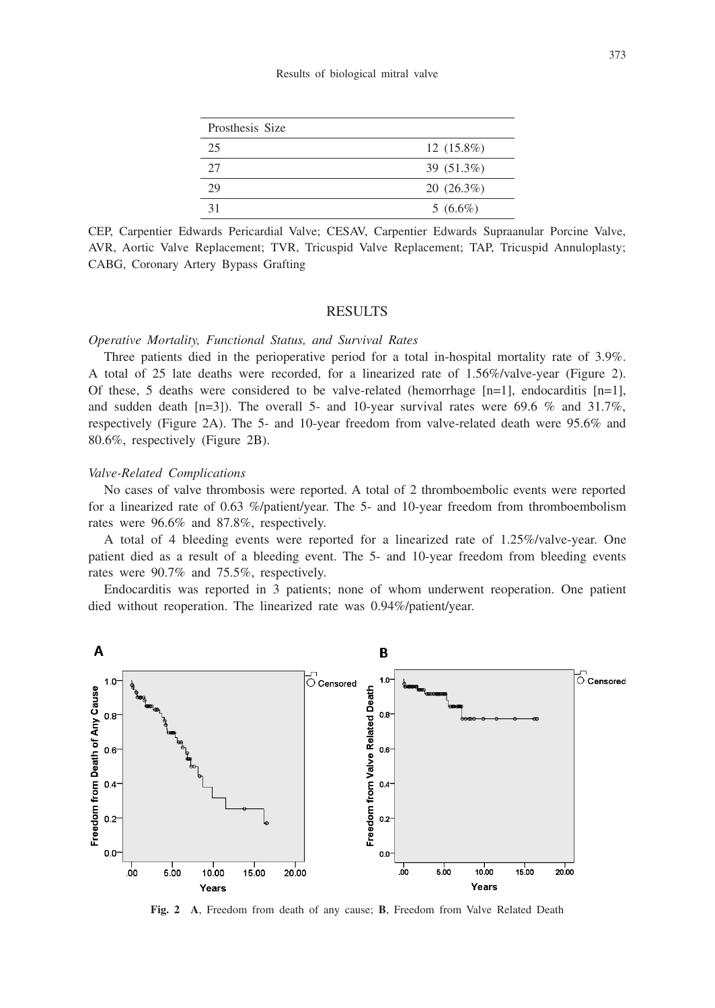| Prosthesis Size |              |
|-----------------|--------------|
| 25              | $12(15.8\%)$ |
| 27              | 39 (51.3%)   |
| 29              | $20(26.3\%)$ |
|                 | $5(6.6\%)$   |

CEP, Carpentier Edwards Pericardial Valve; CESAV, Carpentier Edwards Supraanular Porcine Valve, AVR, Aortic Valve Replacement; TVR, Tricuspid Valve Replacement; TAP, Tricuspid Annuloplasty; CABG, Coronary Artery Bypass Grafting

### RESULTS

## *Operative Mortality, Functional Status, and Survival Rates*

Three patients died in the perioperative period for a total in-hospital mortality rate of 3.9%. A total of 25 late deaths were recorded, for a linearized rate of 1.56%/valve-year (Figure 2). Of these, 5 deaths were considered to be valve-related (hemorrhage  $[n=1]$ , endocarditis  $[n=1]$ , and sudden death  $[n=3]$ ). The overall 5- and 10-year survival rates were 69.6 % and 31.7%, respectively (Figure 2A). The 5- and 10-year freedom from valve-related death were 95.6% and 80.6%, respectively (Figure 2B).

#### *Valve-Related Complications*

No cases of valve thrombosis were reported. A total of 2 thromboembolic events were reported for a linearized rate of 0.63 %/patient/year. The 5- and 10-year freedom from thromboembolism rates were 96.6% and 87.8%, respectively.

A total of 4 bleeding events were reported for a linearized rate of 1.25%/valve-year. One patient died as a result of a bleeding event. The 5- and 10-year freedom from bleeding events rates were 90.7% and 75.5%, respectively.

Endocarditis was reported in 3 patients; none of whom underwent reoperation. One patient died without reoperation. The linearized rate was 0.94%/patient/year.



**Fig. 2 A**, Freedom from death of any cause; **B**, Freedom from Valve Related Death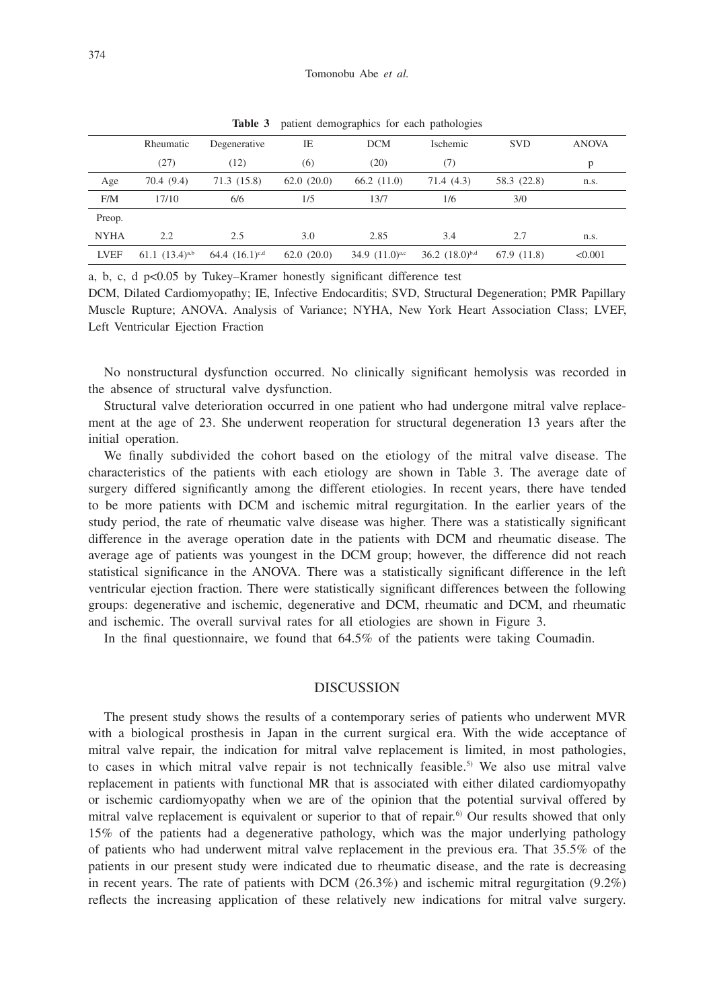|             | Rheumatic           | Degenerative        | IE         | <b>DCM</b>          | Ischemic            | <b>SVD</b>  | <b>ANOVA</b> |
|-------------|---------------------|---------------------|------------|---------------------|---------------------|-------------|--------------|
|             | (27)                | (12)                | (6)        | (20)                | (7)                 |             | p            |
| Age         | 70.4(9.4)           | 71.3(15.8)          | 62.0(20.0) | 66.2(11.0)          | 71.4(4.3)           | 58.3 (22.8) | n.s.         |
| F/M         | 17/10               | 6/6                 | 1/5        | 13/7                | 1/6                 | 3/0         |              |
| Preop.      |                     |                     |            |                     |                     |             |              |
| <b>NYHA</b> | 2.2                 | 2.5                 | 3.0        | 2.85                | 3.4                 | 2.7         | n.s.         |
| <b>LVEF</b> | 61.1 $(13.4)^{a,b}$ | 64.4 $(16.1)^{c,d}$ | 62.0(20.0) | 34.9 $(11.0)^{a,c}$ | 36.2 $(18.0)^{b,d}$ | 67.9 (11.8) | < 0.001      |
|             |                     |                     |            |                     |                     |             |              |

**Table 3** patient demographics for each pathologies

a, b, c, d p<0.05 by Tukey–Kramer honestly significant difference test

DCM, Dilated Cardiomyopathy; IE, Infective Endocarditis; SVD, Structural Degeneration; PMR Papillary Muscle Rupture; ANOVA. Analysis of Variance; NYHA, New York Heart Association Class; LVEF, Left Ventricular Ejection Fraction

No nonstructural dysfunction occurred. No clinically significant hemolysis was recorded in the absence of structural valve dysfunction.

Structural valve deterioration occurred in one patient who had undergone mitral valve replacement at the age of 23. She underwent reoperation for structural degeneration 13 years after the initial operation.

We finally subdivided the cohort based on the etiology of the mitral valve disease. The characteristics of the patients with each etiology are shown in Table 3. The average date of surgery differed significantly among the different etiologies. In recent years, there have tended to be more patients with DCM and ischemic mitral regurgitation. In the earlier years of the study period, the rate of rheumatic valve disease was higher. There was a statistically significant difference in the average operation date in the patients with DCM and rheumatic disease. The average age of patients was youngest in the DCM group; however, the difference did not reach statistical significance in the ANOVA. There was a statistically significant difference in the left ventricular ejection fraction. There were statistically significant differences between the following groups: degenerative and ischemic, degenerative and DCM, rheumatic and DCM, and rheumatic and ischemic. The overall survival rates for all etiologies are shown in Figure 3.

In the final questionnaire, we found that 64.5% of the patients were taking Coumadin.

## DISCUSSION

The present study shows the results of a contemporary series of patients who underwent MVR with a biological prosthesis in Japan in the current surgical era. With the wide acceptance of mitral valve repair, the indication for mitral valve replacement is limited, in most pathologies, to cases in which mitral valve repair is not technically feasible.<sup>5)</sup> We also use mitral valve replacement in patients with functional MR that is associated with either dilated cardiomyopathy or ischemic cardiomyopathy when we are of the opinion that the potential survival offered by mitral valve replacement is equivalent or superior to that of repair.<sup>6</sup> Our results showed that only 15% of the patients had a degenerative pathology, which was the major underlying pathology of patients who had underwent mitral valve replacement in the previous era. That 35.5% of the patients in our present study were indicated due to rheumatic disease, and the rate is decreasing in recent years. The rate of patients with DCM  $(26.3%)$  and ischemic mitral regurgitation  $(9.2%)$ reflects the increasing application of these relatively new indications for mitral valve surgery.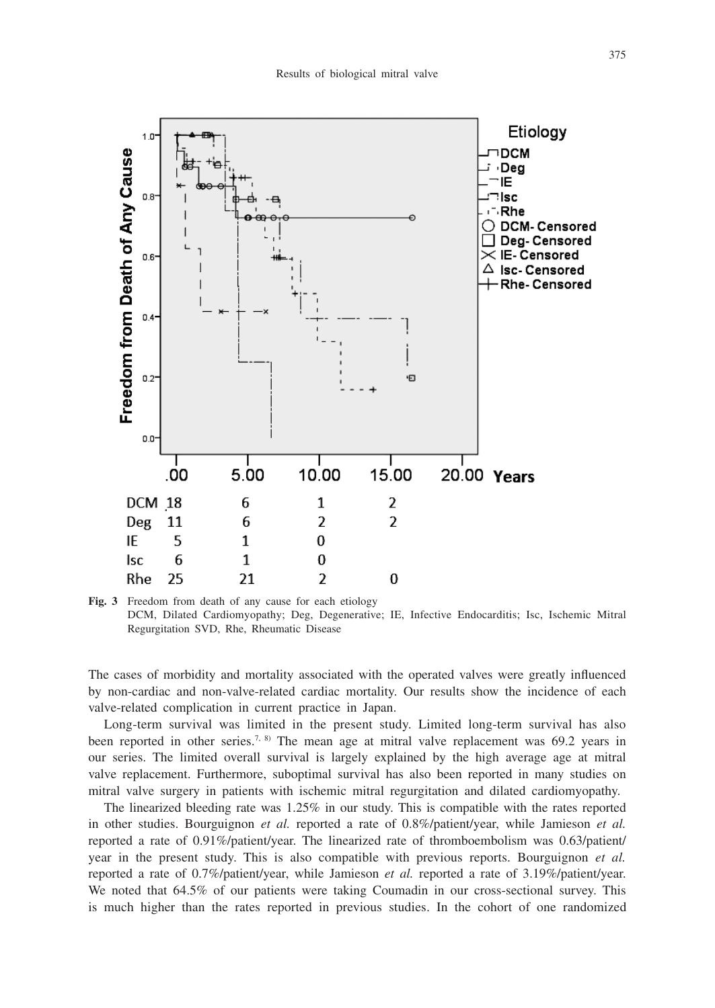

**Fig. 3** Freedom from death of any cause for each etiology DCM, Dilated Cardiomyopathy; Deg, Degenerative; IE, Infective Endocarditis; Isc, Ischemic Mitral Regurgitation SVD, Rhe, Rheumatic Disease

The cases of morbidity and mortality associated with the operated valves were greatly influenced by non-cardiac and non-valve-related cardiac mortality. Our results show the incidence of each valve-related complication in current practice in Japan.

Long-term survival was limited in the present study. Limited long-term survival has also been reported in other series.<sup>7, 8)</sup> The mean age at mitral valve replacement was 69.2 years in our series. The limited overall survival is largely explained by the high average age at mitral valve replacement. Furthermore, suboptimal survival has also been reported in many studies on mitral valve surgery in patients with ischemic mitral regurgitation and dilated cardiomyopathy.

The linearized bleeding rate was 1.25% in our study. This is compatible with the rates reported in other studies. Bourguignon *et al.* reported a rate of 0.8%/patient/year, while Jamieson *et al.* reported a rate of 0.91%/patient/year. The linearized rate of thromboembolism was 0.63/patient/ year in the present study. This is also compatible with previous reports. Bourguignon *et al.*  reported a rate of 0.7%/patient/year, while Jamieson *et al.* reported a rate of 3.19%/patient/year. We noted that 64.5% of our patients were taking Coumadin in our cross-sectional survey. This is much higher than the rates reported in previous studies. In the cohort of one randomized